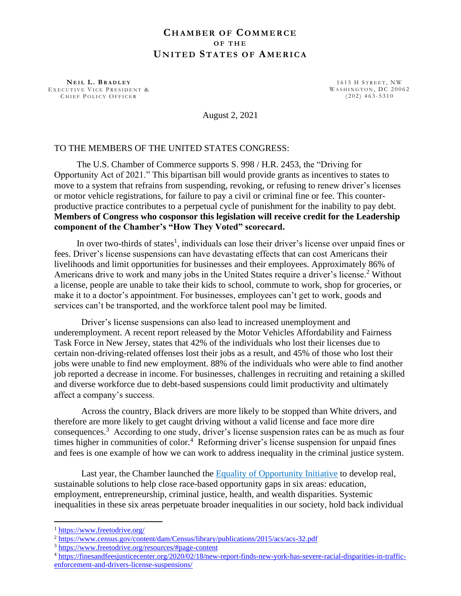## **CH A M B E R O F CO M M E R C E O F T H E UN I T E D ST A T E S O F AM E R I C A**

**N E I L L . B R A D L E Y** EXECUTIVE VICE PRESIDENT & CHIEF POLICY OFFICER

 $1615$  H STREET, NW WASHINGTON, DC 20062  $(202)$  463-5310

August 2, 2021

## TO THE MEMBERS OF THE UNITED STATES CONGRESS:

 The U.S. Chamber of Commerce supports S. 998 / H.R. 2453, the "Driving for Opportunity Act of 2021." This bipartisan bill would provide grants as incentives to states to move to a system that refrains from suspending, revoking, or refusing to renew driver's licenses or motor vehicle registrations, for failure to pay a civil or criminal fine or fee. This counterproductive practice contributes to a perpetual cycle of punishment for the inability to pay debt. **Members of Congress who cosponsor this legislation will receive credit for the Leadership component of the Chamber's "How They Voted" scorecard.**

In over two-thirds of states<sup>1</sup>, individuals can lose their driver's license over unpaid fines or fees. Driver's license suspensions can have devastating effects that can cost Americans their livelihoods and limit opportunities for businesses and their employees. Approximately 86% of Americans drive to work and many jobs in the United States require a driver's license.<sup>2</sup> Without a license, people are unable to take their kids to school, commute to work, shop for groceries, or make it to a doctor's appointment. For businesses, employees can't get to work, goods and services can't be transported, and the workforce talent pool may be limited.

Driver's license suspensions can also lead to increased unemployment and underemployment. A recent report released by the Motor Vehicles Affordability and Fairness Task Force in New Jersey, states that 42% of the individuals who lost their licenses due to certain non-driving-related offenses lost their jobs as a result, and 45% of those who lost their jobs were unable to find new employment. 88% of the individuals who were able to find another job reported a decrease in income. For businesses, challenges in recruiting and retaining a skilled and diverse workforce due to debt-based suspensions could limit productivity and ultimately affect a company's success.

Across the country, Black drivers are more likely to be stopped than White drivers, and therefore are more likely to get caught driving without a valid license and face more dire consequences.<sup>3</sup> According to one study, driver's license suspension rates can be as much as four times higher in communities of color.<sup>4</sup> Reforming driver's license suspension for unpaid fines and fees is one example of how we can work to address inequality in the criminal justice system.

Last year, the Chamber launched the Equality of [Opportunity](https://www.uschamber.com/equality-of-opportunity-initiative) Initiative to develop real, sustainable solutions to help close race-based opportunity gaps in six areas: education, employment, entrepreneurship, criminal justice, health, and wealth disparities. Systemic inequalities in these six areas perpetuate broader inequalities in our society, hold back individual

<sup>1</sup> <https://www.freetodrive.org/>

<sup>&</sup>lt;sup>2</sup> <https://www.census.gov/content/dam/Census/library/publications/2015/acs/acs-32.pdf>

<sup>3</sup> <https://www.freetodrive.org/resources/#page-content>

<sup>4</sup> [https://finesandfeesjusticecenter.org/2020/02/18/new-report-finds-new-york-has-severe-racial-disparities-in-traffic](https://finesandfeesjusticecenter.org/2020/02/18/new-report-finds-new-york-has-severe-racial-disparities-in-traffic-enforcement-and-drivers-license-suspensions/)[enforcement-and-drivers-license-suspensions/](https://finesandfeesjusticecenter.org/2020/02/18/new-report-finds-new-york-has-severe-racial-disparities-in-traffic-enforcement-and-drivers-license-suspensions/)